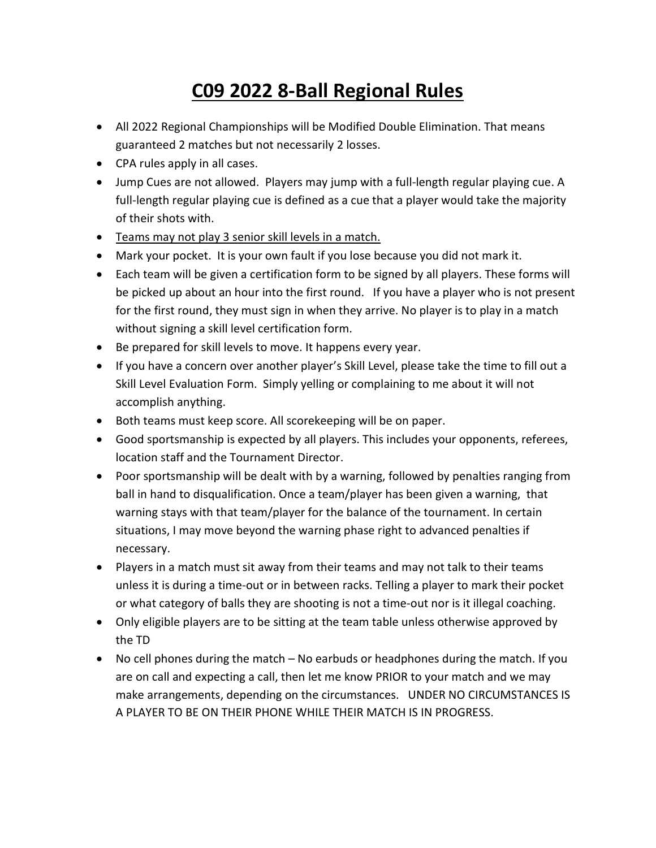## C09 2022 8-Ball Regional Rules

- All 2022 Regional Championships will be Modified Double Elimination. That means guaranteed 2 matches but not necessarily 2 losses.
- CPA rules apply in all cases.
- Jump Cues are not allowed. Players may jump with a full-length regular playing cue. A full-length regular playing cue is defined as a cue that a player would take the majority of their shots with.
- Teams may not play 3 senior skill levels in a match.
- Mark your pocket. It is your own fault if you lose because you did not mark it.
- Each team will be given a certification form to be signed by all players. These forms will be picked up about an hour into the first round. If you have a player who is not present for the first round, they must sign in when they arrive. No player is to play in a match without signing a skill level certification form.
- Be prepared for skill levels to move. It happens every year.
- If you have a concern over another player's Skill Level, please take the time to fill out a Skill Level Evaluation Form. Simply yelling or complaining to me about it will not accomplish anything.
- Both teams must keep score. All scorekeeping will be on paper.
- Good sportsmanship is expected by all players. This includes your opponents, referees, location staff and the Tournament Director.
- Poor sportsmanship will be dealt with by a warning, followed by penalties ranging from ball in hand to disqualification. Once a team/player has been given a warning, that warning stays with that team/player for the balance of the tournament. In certain situations, I may move beyond the warning phase right to advanced penalties if necessary.
- Players in a match must sit away from their teams and may not talk to their teams unless it is during a time-out or in between racks. Telling a player to mark their pocket or what category of balls they are shooting is not a time-out nor is it illegal coaching.
- Only eligible players are to be sitting at the team table unless otherwise approved by the TD
- No cell phones during the match No earbuds or headphones during the match. If you are on call and expecting a call, then let me know PRIOR to your match and we may make arrangements, depending on the circumstances. UNDER NO CIRCUMSTANCES IS A PLAYER TO BE ON THEIR PHONE WHILE THEIR MATCH IS IN PROGRESS.